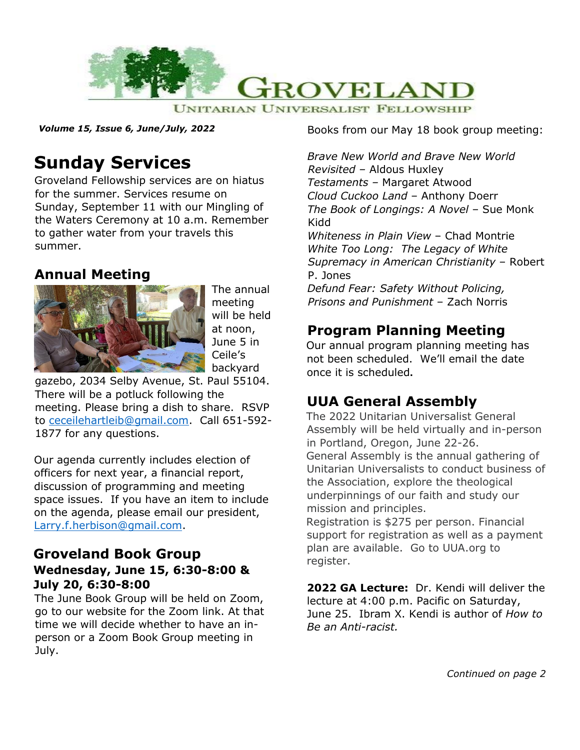

*Volume 15, Issue 6, June/July, 2022*

# **Sunday Services**

Groveland Fellowship services are on hiatus for the summer. Services resume on Sunday, September 11 with our Mingling of the Waters Ceremony at 10 a.m. Remember to gather water from your travels this summer.

#### **Annual Meeting**



The annual meeting will be held at noon, June 5 in Ceile's backyard

gazebo, 2034 Selby Avenue, St. Paul 55104. There will be a potluck following the meeting. Please bring a dish to share. RSVP to [ceceilehartleib@gmail.com.](mailto:ceceilehartleib@gmail.com) Call 651-592- 1877 for any questions.

Our agenda currently includes election of officers for next year, a financial report, discussion of programming and meeting space issues. If you have an item to include on the agenda, please email our president, [Larry.f.herbison@gmail.com.](mailto:Larry.f.herbison@gmail.com)

#### **Groveland Book Group Wednesday, June 15, 6:30-8:00 & July 20, 6:30-8:00**

The June Book Group will be held on Zoom, go to our website for the Zoom link. At that time we will decide whether to have an inperson or a Zoom Book Group meeting in July.

Books from our May 18 book group meeting:

*Brave New World and Brave New World Revisited –* Aldous Huxley *Testaments –* Margaret Atwood *Cloud Cuckoo Land* – Anthony Doerr *The Book of Longings: A Novel* – Sue Monk Kidd *Whiteness in Plain View* – Chad Montrie *White Too Long: The Legacy of White Supremacy in American Christianity* – Robert P. Jones *Defund Fear: Safety Without Policing, Prisons and Punishment* – Zach Norris

### **Program Planning Meeting**

Our annual program planning meeting has not been scheduled. We'll email the date once it is scheduled**.**

# **UUA General Assembly**

The 2022 Unitarian Universalist General Assembly will be held virtually and in-person in Portland, Oregon, June 22-26. General Assembly is the annual gathering of Unitarian Universalists to conduct business of the Association, explore the theological underpinnings of our faith and study our mission and principles.

Registration is \$275 per person. Financial support for registration as well as a payment plan are available. Go to UUA.org to register.

**2022 GA Lecture:** Dr. Kendi will deliver the lecture at 4:00 p.m. Pacific on Saturday, June 25. Ibram X. Kendi is author of *How to Be an Anti-racist.*

*Continued on page 2*